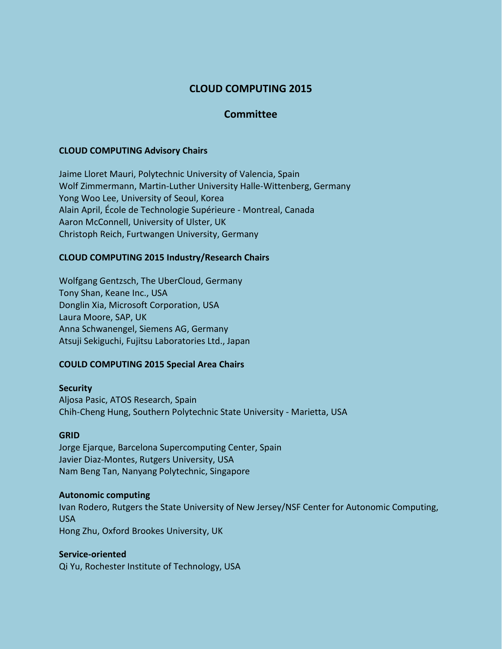# **CLOUD COMPUTING 2015**

## **Committee**

### **CLOUD COMPUTING Advisory Chairs**

Jaime Lloret Mauri, Polytechnic University of Valencia, Spain Wolf Zimmermann, Martin-Luther University Halle-Wittenberg, Germany Yong Woo Lee, University of Seoul, Korea Alain April, École de Technologie Supérieure - Montreal, Canada Aaron McConnell, University of Ulster, UK Christoph Reich, Furtwangen University, Germany

### **CLOUD COMPUTING 2015 Industry/Research Chairs**

Wolfgang Gentzsch, The UberCloud, Germany Tony Shan, Keane Inc., USA Donglin Xia, Microsoft Corporation, USA Laura Moore, SAP, UK Anna Schwanengel, Siemens AG, Germany Atsuji Sekiguchi, Fujitsu Laboratories Ltd., Japan

#### **COULD COMPUTING 2015 Special Area Chairs**

#### **Security**

Aljosa Pasic, ATOS Research, Spain Chih-Cheng Hung, Southern Polytechnic State University - Marietta, USA

#### **GRID**

Jorge Ejarque, Barcelona Supercomputing Center, Spain Javier Diaz-Montes, Rutgers University, USA Nam Beng Tan, Nanyang Polytechnic, Singapore

#### **Autonomic computing**

Ivan Rodero, Rutgers the State University of New Jersey/NSF Center for Autonomic Computing, USA Hong Zhu, Oxford Brookes University, UK

#### **Service-oriented**

Qi Yu, Rochester Institute of Technology, USA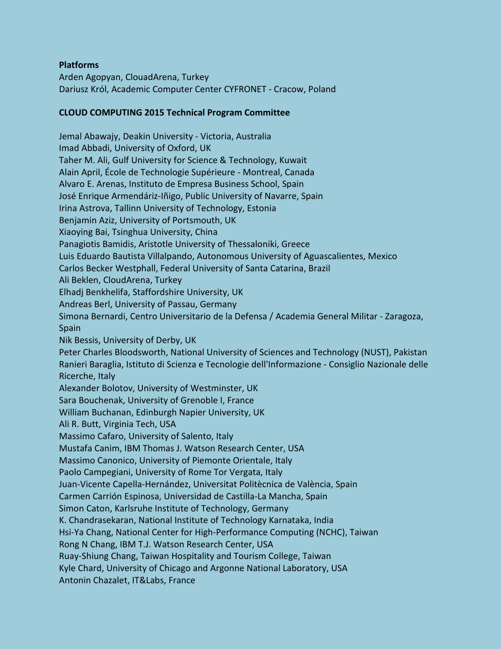## **Platforms**

Arden Agopyan, ClouadArena, Turkey Dariusz Król, Academic Computer Center CYFRONET - Cracow, Poland

## **CLOUD COMPUTING 2015 Technical Program Committee**

Jemal Abawajy, Deakin University - Victoria, Australia Imad Abbadi, University of Oxford, UK Taher M. Ali, Gulf University for Science & Technology, Kuwait Alain April, École de Technologie Supérieure - Montreal, Canada Alvaro E. Arenas, Instituto de Empresa Business School, Spain José Enrique Armendáriz-Iñigo, Public University of Navarre, Spain Irina Astrova, Tallinn University of Technology, Estonia Benjamin Aziz, University of Portsmouth, UK Xiaoying Bai, Tsinghua University, China Panagiotis Bamidis, Aristotle University of Thessaloniki, Greece Luis Eduardo Bautista Villalpando, Autonomous University of Aguascalientes, Mexico Carlos Becker Westphall, Federal University of Santa Catarina, Brazil Ali Beklen, CloudArena, Turkey Elhadj Benkhelifa, Staffordshire University, UK Andreas Berl, University of Passau, Germany Simona Bernardi, Centro Universitario de la Defensa / Academia General Militar - Zaragoza, Spain Nik Bessis, University of Derby, UK Peter Charles Bloodsworth, National University of Sciences and Technology (NUST), Pakistan Ranieri Baraglia, Istituto di Scienza e Tecnologie dell'Informazione - Consiglio Nazionale delle Ricerche, Italy Alexander Bolotov, University of Westminster, UK Sara Bouchenak, University of Grenoble I, France William Buchanan, Edinburgh Napier University, UK Ali R. Butt, Virginia Tech, USA Massimo Cafaro, University of Salento, Italy Mustafa Canim, IBM Thomas J. Watson Research Center, USA Massimo Canonico, University of Piemonte Orientale, Italy Paolo Campegiani, University of Rome Tor Vergata, Italy Juan-Vicente Capella-Hernández, Universitat Politècnica de València, Spain Carmen Carrión Espinosa, Universidad de Castilla-La Mancha, Spain Simon Caton, Karlsruhe Institute of Technology, Germany K. Chandrasekaran, National Institute of Technology Karnataka, India Hsi-Ya Chang, National Center for High-Performance Computing (NCHC), Taiwan Rong N Chang, IBM T.J. Watson Research Center, USA Ruay-Shiung Chang, Taiwan Hospitality and Tourism College, Taiwan Kyle Chard, University of Chicago and Argonne National Laboratory, USA Antonin Chazalet, IT&Labs, France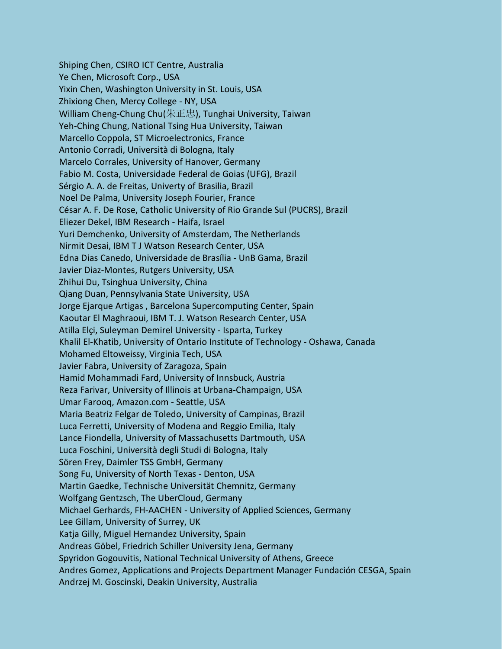Shiping Chen, CSIRO ICT Centre, Australia Ye Chen, Microsoft Corp., USA Yixin Chen, Washington University in St. Louis, USA Zhixiong Chen, Mercy College - NY, USA William Cheng-Chung Chu(朱正忠), Tunghai University, Taiwan Yeh-Ching Chung, National Tsing Hua University, Taiwan Marcello Coppola, ST Microelectronics, France Antonio Corradi, Università di Bologna, Italy Marcelo Corrales, University of Hanover, Germany Fabio M. Costa, Universidade Federal de Goias (UFG), Brazil Sérgio A. A. de Freitas, Univerty of Brasilia, Brazil Noel De Palma, University Joseph Fourier, France César A. F. De Rose, Catholic University of Rio Grande Sul (PUCRS), Brazil Eliezer Dekel, IBM Research - Haifa, Israel Yuri Demchenko, University of Amsterdam, The Netherlands Nirmit Desai, IBM T J Watson Research Center, USA Edna Dias Canedo, Universidade de Brasília - UnB Gama, Brazil Javier Diaz-Montes, Rutgers University, USA Zhihui Du, Tsinghua University, China Qiang Duan, Pennsylvania State University, USA Jorge Ejarque Artigas , Barcelona Supercomputing Center, Spain Kaoutar El Maghraoui, IBM T. J. Watson Research Center, USA Atilla Elçi, Suleyman Demirel University - Isparta, Turkey Khalil El-Khatib, University of Ontario Institute of Technology - Oshawa, Canada Mohamed Eltoweissy, Virginia Tech, USA Javier Fabra, University of Zaragoza, Spain Hamid Mohammadi Fard, University of Innsbuck, Austria Reza Farivar, University of Illinois at Urbana-Champaign, USA Umar Farooq, Amazon.com - Seattle, USA Maria Beatriz Felgar de Toledo, University of Campinas, Brazil Luca Ferretti, University of Modena and Reggio Emilia, Italy Lance Fiondella, University of Massachusetts Dartmouth*,* USA Luca Foschini, Università degli Studi di Bologna, Italy Sören Frey, Daimler TSS GmbH, Germany Song Fu, University of North Texas - Denton, USA Martin Gaedke, Technische Universität Chemnitz, Germany Wolfgang Gentzsch, The UberCloud, Germany Michael Gerhards, FH-AACHEN - University of Applied Sciences, Germany Lee Gillam, University of Surrey, UK Katja Gilly, Miguel Hernandez University, Spain Andreas Göbel, Friedrich Schiller University Jena, Germany Spyridon Gogouvitis, National Technical University of Athens, Greece Andres Gomez, Applications and Projects Department Manager Fundación CESGA, Spain Andrzej M. Goscinski, Deakin University, Australia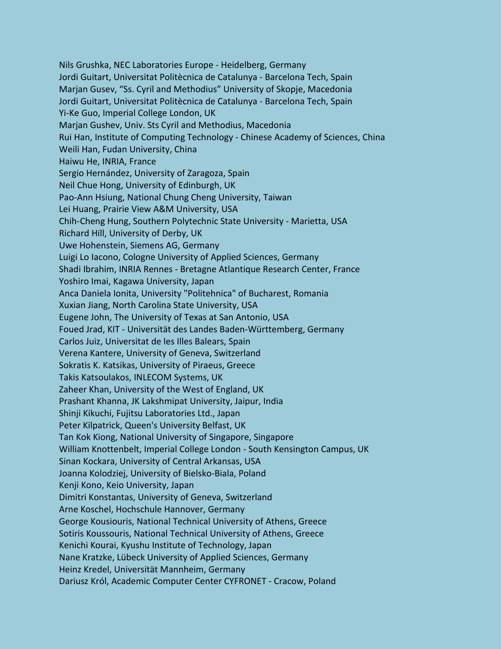Nils Grushka, NEC Laboratories Europe - Heidelberg, Germany Jordi Guitart, Universitat Politècnica de Catalunya - Barcelona Tech, Spain Marjan Gusev, "Ss. Cyril and Methodius" University of Skopje, Macedonia Jordi Guitart, Universitat Politècnica de Catalunya - Barcelona Tech, Spain Yi-Ke Guo, Imperial College London, UK Marjan Gushev, Univ. Sts Cyril and Methodius, Macedonia Rui Han, Institute of Computing Technology - Chinese Academy of Sciences, China Weili Han, Fudan University, China Haiwu He, INRIA, France Sergio Hernández, University of Zaragoza, Spain Neil Chue Hong, University of Edinburgh, UK Pao-Ann Hsiung, National Chung Cheng University, Taiwan Lei Huang, Prairie View A&M University, USA Chih-Cheng Hung, Southern Polytechnic State University - Marietta, USA Richard Hill, University of Derby, UK Uwe Hohenstein, Siemens AG, Germany Luigi Lo Iacono, Cologne University of Applied Sciences, Germany Shadi Ibrahim, INRIA Rennes - Bretagne Atlantique Research Center, France Yoshiro Imai, Kagawa University, Japan Anca Daniela Ionita, University "Politehnica" of Bucharest, Romania Xuxian Jiang, North Carolina State University, USA Eugene John, The University of Texas at San Antonio, USA Foued Jrad, KIT - Universität des Landes Baden-Württemberg, Germany Carlos Juiz, Universitat de les Illes Balears, Spain Verena Kantere, University of Geneva, Switzerland Sokratis K. Katsikas, University of Piraeus, Greece Takis Katsoulakos, INLECOM Systems, UK Zaheer Khan, University of the West of England, UK Prashant Khanna, JK Lakshmipat University, Jaipur, India Shinji Kikuchi, Fujitsu Laboratories Ltd., Japan Peter Kilpatrick, Queen's University Belfast, UK Tan Kok Kiong, National University of Singapore, Singapore William Knottenbelt, Imperial College London - South Kensington Campus, UK Sinan Kockara, University of Central Arkansas, USA Joanna Kolodziej, University of Bielsko-Biala, Poland Kenji Kono, Keio University, Japan Dimitri Konstantas, University of Geneva, Switzerland Arne Koschel, Hochschule Hannover, Germany George Kousiouris, National Technical University of Athens, Greece Sotiris Koussouris, National Technical University of Athens, Greece Kenichi Kourai, Kyushu Institute of Technology, Japan Nane Kratzke, Lübeck University of Applied Sciences, Germany Heinz Kredel, Universität Mannheim, Germany Dariusz Król, Academic Computer Center CYFRONET - Cracow, Poland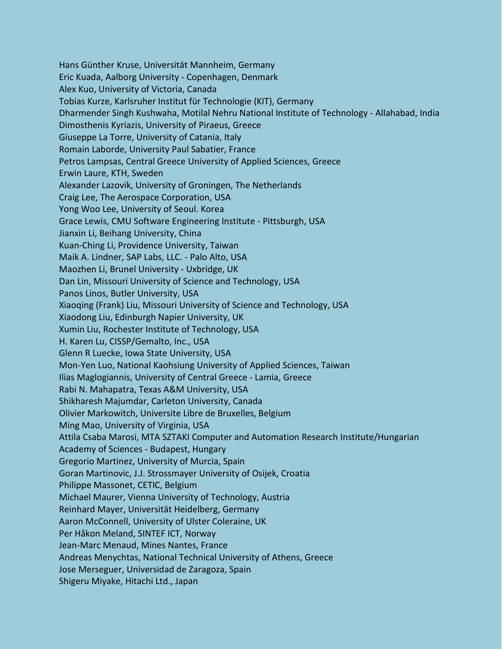Hans Günther Kruse, Universität Mannheim, Germany Eric Kuada, Aalborg University - Copenhagen, Denmark Alex Kuo, University of Victoria, Canada Tobias Kurze, Karlsruher Institut für Technologie (KIT), Germany Dharmender Singh Kushwaha, Motilal Nehru National Institute of Technology - Allahabad, India Dimosthenis Kyriazis, University of Piraeus, Greece Giuseppe La Torre, University of Catania, Italy Romain Laborde, University Paul Sabatier, France Petros Lampsas, Central Greece University of Applied Sciences, Greece Erwin Laure, KTH, Sweden Alexander Lazovik, University of Groningen, The Netherlands Craig Lee, The Aerospace Corporation, USA Yong Woo Lee, University of Seoul. Korea Grace Lewis, CMU Software Engineering Institute - Pittsburgh, USA Jianxin Li, Beihang University, China Kuan-Ching Li, Providence University, Taiwan Maik A. Lindner, SAP Labs, LLC. - Palo Alto, USA Maozhen Li, Brunel University - Uxbridge, UK Dan Lin, Missouri University of Science and Technology, USA Panos Linos, Butler University, USA Xiaoqing (Frank) Liu, Missouri University of Science and Technology, USA Xiaodong Liu, Edinburgh Napier University, UK Xumin Liu, Rochester Institute of Technology, USA H. Karen Lu, CISSP/Gemalto, Inc., USA Glenn R Luecke, Iowa State University, USA Mon-Yen Luo, National Kaohsiung University of Applied Sciences, Taiwan Ilias Maglogiannis, University of Central Greece - Lamia, Greece Rabi N. Mahapatra, Texas A&M University, USA Shikharesh Majumdar, Carleton University, Canada Olivier Markowitch, Universite Libre de Bruxelles, Belgium Ming Mao, University of Virginia, USA Attila Csaba Marosi, MTA SZTAKI Computer and Automation Research Institute/Hungarian Academy of Sciences - Budapest, Hungary Gregorio Martinez, University of Murcia, Spain Goran Martinovic, J.J. Strossmayer University of Osijek, Croatia Philippe Massonet, CETIC, Belgium Michael Maurer, Vienna University of Technology, Austria Reinhard Mayer, Universität Heidelberg, Germany Aaron McConnell, University of Ulster Coleraine, UK Per Håkon Meland, SINTEF ICT, Norway Jean-Marc Menaud, Mines Nantes, France Andreas Menychtas, National Technical University of Athens, Greece Jose Merseguer, Universidad de Zaragoza, Spain Shigeru Miyake, Hitachi Ltd., Japan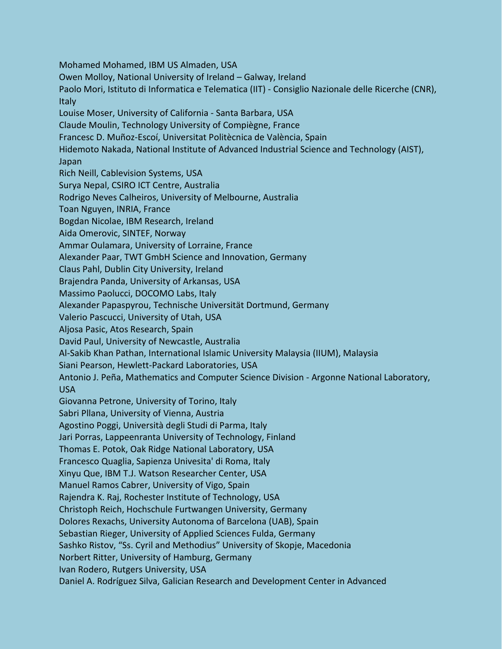Mohamed Mohamed, IBM US Almaden, USA Owen Molloy, National University of Ireland – Galway, Ireland Paolo Mori, Istituto di Informatica e Telematica (IIT) - Consiglio Nazionale delle Ricerche (CNR), Italy Louise Moser, University of California - Santa Barbara, USA Claude Moulin, Technology University of Compiègne, France Francesc D. Muñoz-Escoí, Universitat Politècnica de València, Spain Hidemoto Nakada, National Institute of Advanced Industrial Science and Technology (AIST), Japan Rich Neill, Cablevision Systems, USA Surya Nepal, CSIRO ICT Centre, Australia Rodrigo Neves Calheiros, University of Melbourne, Australia Toan Nguyen, INRIA, France Bogdan Nicolae, IBM Research, Ireland Aida Omerovic, SINTEF, Norway Ammar Oulamara, University of Lorraine, France Alexander Paar, TWT GmbH Science and Innovation, Germany Claus Pahl, Dublin City University, Ireland Brajendra Panda, University of Arkansas, USA Massimo Paolucci, DOCOMO Labs, Italy Alexander Papaspyrou, Technische Universität Dortmund, Germany Valerio Pascucci, University of Utah, USA Aljosa Pasic, Atos Research, Spain David Paul, University of Newcastle, Australia Al-Sakib Khan Pathan, International Islamic University Malaysia (IIUM), Malaysia Siani Pearson, Hewlett-Packard Laboratories, USA Antonio J. Peña, Mathematics and Computer Science Division - Argonne National Laboratory, USA Giovanna Petrone, University of Torino, Italy Sabri Pllana, University of Vienna, Austria Agostino Poggi, Università degli Studi di Parma, Italy Jari Porras, Lappeenranta University of Technology, Finland Thomas E. Potok, Oak Ridge National Laboratory, USA Francesco Quaglia, Sapienza Univesita' di Roma, Italy Xinyu Que, IBM T.J. Watson Researcher Center, USA Manuel Ramos Cabrer, University of Vigo, Spain Rajendra K. Raj, Rochester Institute of Technology, USA Christoph Reich, Hochschule Furtwangen University, Germany Dolores Rexachs, University Autonoma of Barcelona (UAB), Spain Sebastian Rieger, University of Applied Sciences Fulda, Germany Sashko Ristov, "Ss. Cyril and Methodius" University of Skopje, Macedonia Norbert Ritter, University of Hamburg, Germany Ivan Rodero, Rutgers University, USA Daniel A. Rodríguez Silva, Galician Research and Development Center in Advanced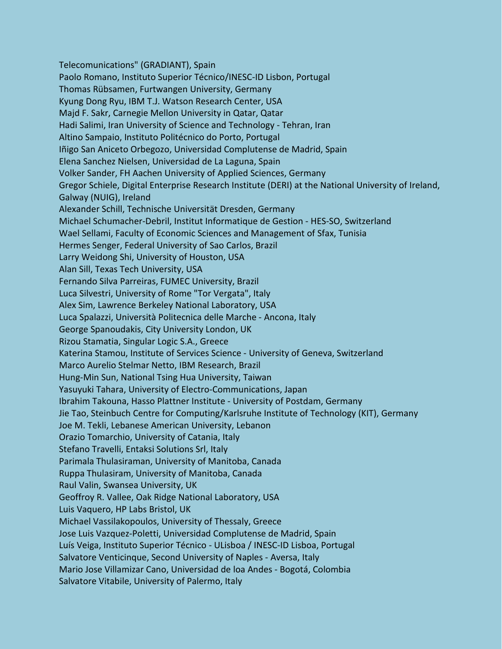Telecomunications" (GRADIANT), Spain Paolo Romano, Instituto Superior Técnico/INESC-ID Lisbon, Portugal Thomas Rübsamen, Furtwangen University, Germany Kyung Dong Ryu, IBM T.J. Watson Research Center, USA Majd F. Sakr, Carnegie Mellon University in Qatar, Qatar Hadi Salimi, Iran University of Science and Technology - Tehran, Iran Altino Sampaio, Instituto Politécnico do Porto, Portugal Iñigo San Aniceto Orbegozo, Universidad Complutense de Madrid, Spain Elena Sanchez Nielsen, Universidad de La Laguna, Spain Volker Sander, FH Aachen University of Applied Sciences, Germany Gregor Schiele, Digital Enterprise Research Institute (DERI) at the National University of Ireland, Galway (NUIG), Ireland Alexander Schill, Technische Universität Dresden, Germany Michael Schumacher-Debril, Institut Informatique de Gestion - HES-SO, Switzerland Wael Sellami, Faculty of Economic Sciences and Management of Sfax, Tunisia Hermes Senger, Federal University of Sao Carlos, Brazil Larry Weidong Shi, University of Houston, USA Alan Sill, Texas Tech University, USA Fernando Silva Parreiras, FUMEC University, Brazil Luca Silvestri, University of Rome "Tor Vergata", Italy Alex Sim, Lawrence Berkeley National Laboratory, USA Luca Spalazzi, Università Politecnica delle Marche - Ancona, Italy George Spanoudakis, City University London, UK Rizou Stamatia, Singular Logic S.A., Greece Katerina Stamou, Institute of Services Science - University of Geneva, Switzerland Marco Aurelio Stelmar Netto, IBM Research, Brazil Hung-Min Sun, National Tsing Hua University, Taiwan Yasuyuki Tahara, University of Electro-Communications, Japan Ibrahim Takouna, Hasso Plattner Institute - University of Postdam, Germany Jie Tao, Steinbuch Centre for Computing/Karlsruhe Institute of Technology (KIT), Germany Joe M. Tekli, Lebanese American University, Lebanon Orazio Tomarchio, University of Catania, Italy Stefano Travelli, Entaksi Solutions Srl, Italy Parimala Thulasiraman, University of Manitoba, Canada Ruppa Thulasiram, University of Manitoba, Canada Raul Valin, Swansea University, UK Geoffroy R. Vallee, Oak Ridge National Laboratory, USA Luis Vaquero, HP Labs Bristol, UK Michael Vassilakopoulos, University of Thessaly, Greece Jose Luis Vazquez-Poletti, Universidad Complutense de Madrid, Spain Luís Veiga, Instituto Superior Técnico - ULisboa / INESC-ID Lisboa, Portugal Salvatore Venticinque, Second University of Naples - Aversa, Italy Mario Jose Villamizar Cano, Universidad de loa Andes - Bogotá, Colombia Salvatore Vitabile, University of Palermo, Italy